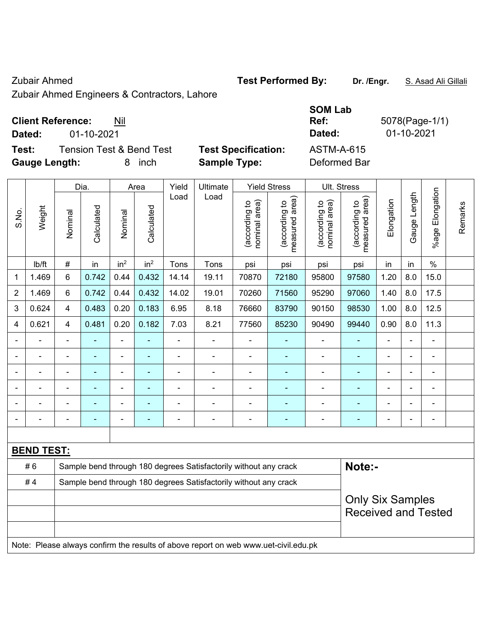Zubair Ahmed **Test Performed By: Dr. /Engr.** S. Asad Ali Gillali

Zubair Ahmed Engineers & Contractors, Lahore

## **Client Reference:** Nil

**Test:** Tension Test & Bend Test **Test Specification: Gauge Length:** 8 inch **Sample Type:** Deformed Bar

|               |                          |                                     |                            | <b>SOM Lab</b> |            |
|---------------|--------------------------|-------------------------------------|----------------------------|----------------|------------|
|               | <b>Client Reference:</b> | Nil                                 | Ref:                       | 5078(Page-1/1) |            |
| Dated:        | 01-10-2021               |                                     |                            | Dated:         | 01-10-2021 |
| Test:         |                          | <b>Tension Test &amp; Bend Test</b> | <b>Test Specification:</b> | ASTM-A-615     |            |
| Caugo Longth: |                          | 8 inch                              | Sample Type:               | Deformed Rar   |            |

|       |                   |                                                                  | Dia.           |                              | Area            | Yield<br>Ultimate<br>Load<br>Load |                                                                                     | <b>Yield Stress</b>            |                                 | Ult. Stress                    |                                             |                |              |                          |         |
|-------|-------------------|------------------------------------------------------------------|----------------|------------------------------|-----------------|-----------------------------------|-------------------------------------------------------------------------------------|--------------------------------|---------------------------------|--------------------------------|---------------------------------------------|----------------|--------------|--------------------------|---------|
| S.No. | Weight            | Nominal                                                          | Calculated     | Nominal                      | Calculated      |                                   |                                                                                     | nominal area)<br>(according to | (according to<br>measured area) | nominal area)<br>(according to | (according to<br>neasured area)<br>measured | Elongation     | Gauge Length | Elongation<br>$%$ age    | Remarks |
|       | Ib/ft             | #                                                                | in             | in <sup>2</sup>              | in <sup>2</sup> | Tons                              | Tons                                                                                | psi                            | psi                             | psi                            | psi                                         | in             | in           | $\%$                     |         |
| 1     | 1.469             | $6\phantom{a}$                                                   | 0.742          | 0.44                         | 0.432           | 14.14                             | 19.11                                                                               | 70870                          | 72180                           | 95800                          | 97580                                       | 1.20           | 8.0          | 15.0                     |         |
| 2     | 1.469             | 6                                                                | 0.742          | 0.44                         | 0.432           | 14.02                             | 19.01                                                                               | 70260                          | 71560                           | 95290                          | 97060                                       | 1.40           | 8.0          | 17.5                     |         |
| 3     | 0.624             | $\overline{4}$                                                   | 0.483          | 0.20                         | 0.183           | 6.95                              | 8.18                                                                                | 76660                          | 83790                           | 90150                          | 98530                                       | 1.00           | 8.0          | 12.5                     |         |
| 4     | 0.621             | $\overline{4}$                                                   | 0.481          | 0.20                         | 0.182           | 7.03                              | 8.21                                                                                | 77560                          | 85230                           | 90490                          | 99440                                       | 0.90           | 8.0          | 11.3                     |         |
|       |                   |                                                                  |                | ä,                           |                 |                                   | Ě.                                                                                  |                                |                                 | $\blacksquare$                 |                                             | $\blacksquare$ |              | ä,                       |         |
|       |                   |                                                                  |                | $\overline{a}$               |                 |                                   |                                                                                     |                                |                                 |                                |                                             |                |              |                          |         |
|       |                   |                                                                  |                | $\blacksquare$               |                 |                                   | ÷                                                                                   | $\blacksquare$                 |                                 | $\blacksquare$                 | ä,                                          | $\blacksquare$ |              | $\blacksquare$           |         |
|       |                   | $\blacksquare$                                                   | ÷              | $\qquad \qquad \blacksquare$ |                 | ä,                                | Ě.                                                                                  | $\blacksquare$                 | ۰                               | ä,                             | ä,                                          | $\blacksquare$ |              | $\overline{\phantom{a}}$ |         |
|       |                   |                                                                  | $\blacksquare$ | ۰                            |                 | Ē,                                | ÷                                                                                   | $\blacksquare$                 | ۰                               | ÷                              | ÷,                                          | $\overline{a}$ |              | $\blacksquare$           |         |
|       | $\blacksquare$    |                                                                  | $\blacksquare$ | ۰                            |                 | $\blacksquare$                    | $\blacksquare$                                                                      | $\blacksquare$                 | ۰                               | $\blacksquare$                 | $\blacksquare$                              | $\blacksquare$ |              | $\blacksquare$           |         |
|       |                   |                                                                  |                |                              |                 |                                   |                                                                                     |                                |                                 |                                |                                             |                |              |                          |         |
|       | <b>BEND TEST:</b> |                                                                  |                |                              |                 |                                   |                                                                                     |                                |                                 |                                |                                             |                |              |                          |         |
|       | #6                |                                                                  |                |                              |                 |                                   | Sample bend through 180 degrees Satisfactorily without any crack                    |                                |                                 |                                | Note:-                                      |                |              |                          |         |
|       | #4                | Sample bend through 180 degrees Satisfactorily without any crack |                |                              |                 |                                   |                                                                                     |                                |                                 |                                |                                             |                |              |                          |         |
|       |                   |                                                                  |                |                              |                 |                                   |                                                                                     |                                |                                 |                                | <b>Only Six Samples</b>                     |                |              |                          |         |
|       |                   |                                                                  |                |                              |                 |                                   |                                                                                     |                                |                                 |                                | <b>Received and Tested</b>                  |                |              |                          |         |
|       |                   |                                                                  |                |                              |                 |                                   | Note: Please always confirm the results of above report on web www.uet-civil.edu.pk |                                |                                 |                                |                                             |                |              |                          |         |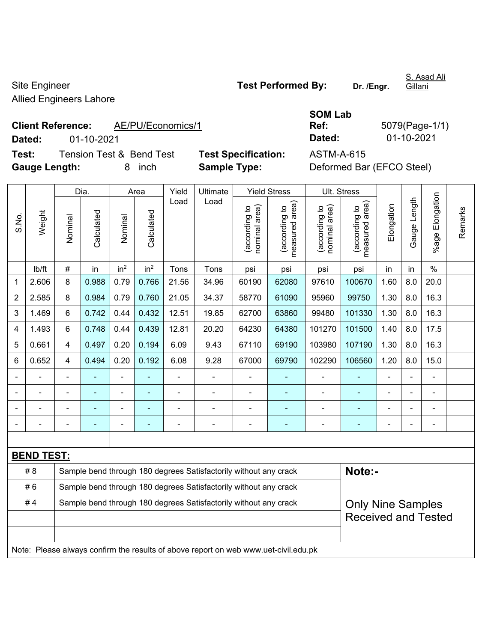Site Engineer **Test Performed By:** Dr. /Engr. Allied Engineers Lahore

S. Asad Ali Gillani

**Client Reference:** AE/PU/Economics/1 **Dated:** 01-10-2021 **Dated:** 01-10-2021

**Test:** Tension Test & Bend Test **Test Specification:** ASTM-A-615 **Gauge Length:** 8 inch **Sample Type:** Deformed Bar (EFCO Steel)

| <b>SOM Lab</b> |                |
|----------------|----------------|
| Ref:           | 5079(Page-1/1) |
| Dated:         | 01-10-2021     |

|                |                                                                                     |                                                                                              | Dia.       |                 | Area            | Yield          | Ultimate                                                         |                                | <b>Yield Stress</b>                |                                | Ult. Stress                     |                |              |                      |         |
|----------------|-------------------------------------------------------------------------------------|----------------------------------------------------------------------------------------------|------------|-----------------|-----------------|----------------|------------------------------------------------------------------|--------------------------------|------------------------------------|--------------------------------|---------------------------------|----------------|--------------|----------------------|---------|
| S.No.          | Weight                                                                              | Nominal                                                                                      | Calculated | Nominal         | Calculated      | Load           | Load                                                             | (according to<br>nominal area) | area)<br>(according to<br>measured | nominal area)<br>(according to | measured area)<br>(according to | Elongation     | Gauge Length | Elongation<br>%age I | Remarks |
|                | Ib/ft                                                                               | #                                                                                            | in         | in <sup>2</sup> | in <sup>2</sup> | Tons           | Tons                                                             | psi                            | psi                                | psi                            | psi                             | in             | in           | $\%$                 |         |
| 1              | 2.606                                                                               | 8                                                                                            | 0.988      | 0.79            | 0.766           | 21.56          | 34.96                                                            | 60190                          | 62080                              | 97610                          | 100670                          | 1.60           | 8.0          | 20.0                 |         |
| $\overline{2}$ | 2.585                                                                               | 8                                                                                            | 0.984      | 0.79            | 0.760           | 21.05          | 34.37                                                            | 58770                          | 61090                              | 95960                          | 99750                           | 1.30           | 8.0          | 16.3                 |         |
| 3              | 1.469                                                                               | 6                                                                                            | 0.742      | 0.44            | 0.432           | 12.51          | 19.85                                                            | 62700                          | 63860                              | 99480                          | 101330                          | 1.30           | 8.0          | 16.3                 |         |
| 4              | 1.493                                                                               | 6                                                                                            | 0.748      | 0.44            | 0.439           | 12.81          | 20.20                                                            | 64230                          | 64380                              | 101270                         | 101500                          | 1.40           | 8.0          | 17.5                 |         |
| 5              | 0.661                                                                               | $\overline{4}$                                                                               | 0.497      | 0.20            | 0.194           | 6.09           | 9.43                                                             | 67110                          | 69190                              | 103980                         | 107190                          | 1.30           | 8.0          | 16.3                 |         |
| 6              | 0.652                                                                               | $\overline{4}$                                                                               | 0.494      | 0.20            | 0.192           | 6.08           | 9.28                                                             | 67000                          | 69790                              | 102290                         | 106560                          | 1.20           | 8.0          | 15.0                 |         |
|                | ä,                                                                                  | $\blacksquare$                                                                               | ä,         | $\blacksquare$  |                 | $\blacksquare$ | ÷                                                                | $\blacksquare$                 | $\blacksquare$                     | $\overline{\phantom{a}}$       | ä,                              | ä,             |              | ä,                   |         |
|                |                                                                                     |                                                                                              |            | $\blacksquare$  |                 | ä,             | ä,                                                               |                                |                                    | L,                             | ä,                              |                |              | L,                   |         |
|                |                                                                                     |                                                                                              |            |                 |                 |                | $\blacksquare$                                                   |                                |                                    | $\blacksquare$                 | ۰                               |                |              |                      |         |
|                |                                                                                     |                                                                                              |            |                 |                 | $\blacksquare$ | $\blacksquare$                                                   |                                |                                    | $\blacksquare$                 | ÷                               | $\blacksquare$ |              | $\blacksquare$       |         |
|                |                                                                                     |                                                                                              |            |                 |                 |                |                                                                  |                                |                                    |                                |                                 |                |              |                      |         |
|                | <b>BEND TEST:</b>                                                                   |                                                                                              |            |                 |                 |                |                                                                  |                                |                                    |                                |                                 |                |              |                      |         |
|                | #8                                                                                  |                                                                                              |            |                 |                 |                | Sample bend through 180 degrees Satisfactorily without any crack |                                |                                    |                                | Note:-                          |                |              |                      |         |
|                | #6                                                                                  |                                                                                              |            |                 |                 |                | Sample bend through 180 degrees Satisfactorily without any crack |                                |                                    |                                |                                 |                |              |                      |         |
|                | #4                                                                                  | Sample bend through 180 degrees Satisfactorily without any crack<br><b>Only Nine Samples</b> |            |                 |                 |                |                                                                  |                                |                                    |                                |                                 |                |              |                      |         |
|                |                                                                                     |                                                                                              |            |                 |                 |                |                                                                  |                                |                                    |                                | <b>Received and Tested</b>      |                |              |                      |         |
|                |                                                                                     |                                                                                              |            |                 |                 |                |                                                                  |                                |                                    |                                |                                 |                |              |                      |         |
|                | Note: Please always confirm the results of above report on web www.uet-civil.edu.pk |                                                                                              |            |                 |                 |                |                                                                  |                                |                                    |                                |                                 |                |              |                      |         |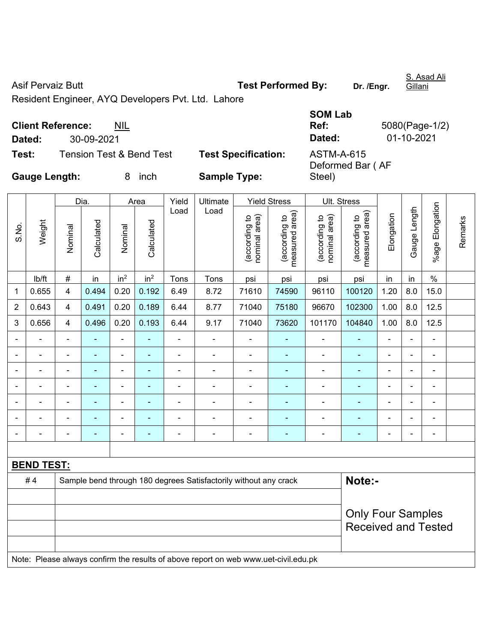Asif Pervaiz Butt **Test Performed By:** Dr. /Engr.

Steel)

S. Asad Ali Gillani

Resident Engineer, AYQ Developers Pvt. Ltd. Lahore

|        | <b>Client Reference:</b><br><b>NIL</b> |                            | <b>SOM Lab</b><br>Ref:     |
|--------|----------------------------------------|----------------------------|----------------------------|
| Dated: | 30-09-2021                             |                            | Dated:                     |
| Test:  | <b>Tension Test &amp; Bend Test</b>    | <b>Test Specification:</b> | ASTM-A-615<br>Deformed Bar |

**Ref:** 5080(Page-1/2) **Dated:** 30-09-2021 **Dated:** 01-10-2021 Bar ( AF

**Gauge Length:** 8 inch **Sample Type:** 

|                |                   |                | Dia.           |                          | Area            | Yield          | Ultimate                                                                            |                                | <b>Yield Stress</b>                         |                                | Ult. Stress                     |                          |                |                 |         |
|----------------|-------------------|----------------|----------------|--------------------------|-----------------|----------------|-------------------------------------------------------------------------------------|--------------------------------|---------------------------------------------|--------------------------------|---------------------------------|--------------------------|----------------|-----------------|---------|
| S.No.          | Weight            | Nominal        | Calculated     | Nominal                  | Calculated      | Load           | Load                                                                                | nominal area)<br>(according to | (according to<br>measured area)<br>measured | (according to<br>nominal area) | (according to<br>measured area) | Elongation               | Gauge Length   | %age Elongation | Remarks |
|                | lb/ft             | $\#$           | in             | in <sup>2</sup>          | in <sup>2</sup> | Tons           | Tons                                                                                | psi                            | psi                                         | psi                            | psi                             | in                       | in             | $\%$            |         |
| 1              | 0.655             | 4              | 0.494          | 0.20                     | 0.192           | 6.49           | 8.72                                                                                | 71610                          | 74590                                       | 96110                          | 100120                          | 1.20                     | 8.0            | 15.0            |         |
| $\overline{2}$ | 0.643             | 4              | 0.491          | 0.20                     | 0.189           | 6.44           | 8.77                                                                                | 71040                          | 75180                                       | 96670                          | 102300                          | 1.00                     | 8.0            | 12.5            |         |
| 3              | 0.656             | $\overline{4}$ | 0.496          | 0.20                     | 0.193           | 6.44           | 9.17                                                                                | 71040                          | 73620                                       | 101170                         | 104840                          | 1.00                     | 8.0            | 12.5            |         |
|                |                   | $\blacksquare$ | ÷,             | $\blacksquare$           | $\blacksquare$  | $\blacksquare$ | $\blacksquare$                                                                      | $\blacksquare$                 | ÷                                           | $\blacksquare$                 | ٠                               | $\blacksquare$           | $\blacksquare$ | ÷,              |         |
|                | $\blacksquare$    | ä,             | $\frac{1}{2}$  | $\blacksquare$           | $\blacksquare$  | $\blacksquare$ | $\blacksquare$                                                                      | $\blacksquare$                 | ÷                                           | $\blacksquare$                 | ÷,                              | $\blacksquare$           | $\blacksquare$ | ÷,              |         |
|                |                   | $\blacksquare$ |                | $\blacksquare$           | ٠               |                | ÷                                                                                   | $\blacksquare$                 | ۰                                           | $\blacksquare$                 | ٠                               |                          | $\blacksquare$ | ۰               |         |
|                |                   |                |                | $\blacksquare$           |                 |                | ÷                                                                                   |                                |                                             | $\blacksquare$                 | ٠                               | $\blacksquare$           | $\blacksquare$ | ۰               |         |
|                |                   | $\blacksquare$ |                | ÷                        |                 |                | ÷                                                                                   |                                |                                             | -                              | ÷                               | $\blacksquare$           | ÷,             | ۰               |         |
|                |                   | Ē,             |                | ÷                        |                 |                | ÷                                                                                   | $\blacksquare$                 |                                             | ä,                             | ۰                               | $\blacksquare$           | ÷,             | $\blacksquare$  |         |
|                |                   | $\blacksquare$ | $\blacksquare$ | $\overline{\phantom{0}}$ | $\blacksquare$  |                | $\blacksquare$                                                                      | $\blacksquare$                 | ۰                                           | $\blacksquare$                 | ٠                               | $\overline{\phantom{0}}$ | $\blacksquare$ | ۰               |         |
|                |                   |                |                |                          |                 |                |                                                                                     |                                |                                             |                                |                                 |                          |                |                 |         |
|                | <b>BEND TEST:</b> |                |                |                          |                 |                |                                                                                     |                                |                                             |                                |                                 |                          |                |                 |         |
|                | #4                |                |                |                          |                 |                | Sample bend through 180 degrees Satisfactorily without any crack                    |                                |                                             |                                | Note:-                          |                          |                |                 |         |
|                |                   |                |                |                          |                 |                |                                                                                     |                                |                                             |                                |                                 |                          |                |                 |         |
|                |                   |                |                |                          |                 |                |                                                                                     |                                |                                             |                                | <b>Only Four Samples</b>        |                          |                |                 |         |
|                |                   |                |                |                          |                 |                |                                                                                     |                                |                                             |                                | <b>Received and Tested</b>      |                          |                |                 |         |
|                |                   |                |                |                          |                 |                |                                                                                     |                                |                                             |                                |                                 |                          |                |                 |         |
|                |                   |                |                |                          |                 |                | Note: Please always confirm the results of above report on web www.uet-civil.edu.pk |                                |                                             |                                |                                 |                          |                |                 |         |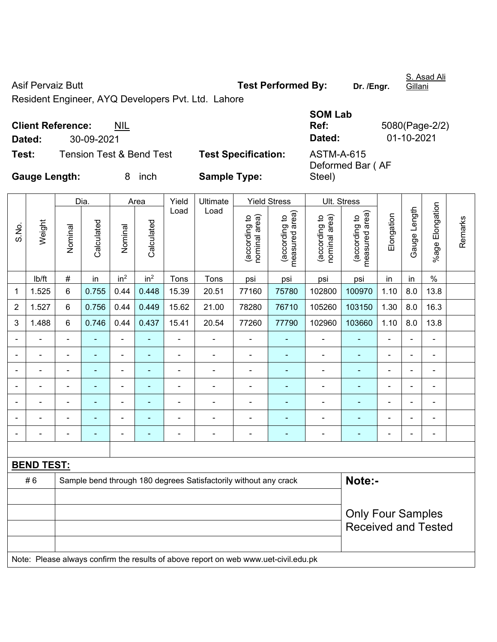Asif Pervaiz Butt **Test Performed By:** Dr. /Engr.

Steel)

S. Asad Ali Gillani

Resident Engineer, AYQ Developers Pvt. Ltd. Lahore

|        |                                  |                            | <b>SOM Lab</b>   |              |
|--------|----------------------------------|----------------------------|------------------|--------------|
|        | <b>Client Reference:</b><br>NIL. |                            | Ref:             | 5080(Page-2) |
| Dated: | 30-09-2021                       |                            | Dated:           | 01-10-2021   |
| Test:  | Tension Test & Bend Test         | <b>Test Specification:</b> | ASTM-A-615       |              |
|        |                                  |                            | Deformed Bar (AF |              |

**Ref:** 5080(Page-2/2)

**Gauge Length:** 8 inch **Sample Type:** 

|                |                   |                          | Dia.                     |                 | Area                     | Yield | Ultimate                                                                            |                                | <b>Yield Stress</b>                         |                                | Ult. Stress                     |                |                |                          |         |
|----------------|-------------------|--------------------------|--------------------------|-----------------|--------------------------|-------|-------------------------------------------------------------------------------------|--------------------------------|---------------------------------------------|--------------------------------|---------------------------------|----------------|----------------|--------------------------|---------|
| S.No.          | Weight            | Nominal                  | Calculated               | Nominal         | Calculated               | Load  | Load                                                                                | (according to<br>nominal area) | (according to<br>measured area)<br>measured | nominal area)<br>(according to | (according to<br>measured area) | Elongation     | Gauge Length   | %age Elongation          | Remarks |
|                | Ib/ft             | $\#$                     | in                       | in <sup>2</sup> | in <sup>2</sup>          | Tons  | Tons                                                                                | psi                            | psi                                         | psi                            | psi                             | in             | in             | $\%$                     |         |
| 1              | 1.525             | 6                        | 0.755                    | 0.44            | 0.448                    | 15.39 | 20.51                                                                               | 77160                          | 75780                                       | 102800                         | 100970                          | 1.10           | 8.0            | 13.8                     |         |
| $\overline{c}$ | 1.527             | 6                        | 0.756                    | 0.44            | 0.449                    | 15.62 | 21.00                                                                               | 78280                          | 76710                                       | 105260                         | 103150                          | 1.30           | 8.0            | 16.3                     |         |
| 3              | 1.488             | 6                        | 0.746                    | 0.44            | 0.437                    | 15.41 | 20.54                                                                               | 77260                          | 77790                                       | 102960                         | 103660                          | 1.10           | 8.0            | 13.8                     |         |
|                |                   | $\blacksquare$           | $\overline{\phantom{0}}$ | $\overline{a}$  | $\overline{\phantom{a}}$ |       | ÷                                                                                   |                                | $\blacksquare$                              | $\blacksquare$                 | $\blacksquare$                  |                |                | $\overline{a}$           |         |
| $\blacksquare$ |                   |                          |                          | $\blacksquare$  |                          | L,    | ä,                                                                                  | ä,                             |                                             | ä,                             | L,                              | $\blacksquare$ | $\blacksquare$ | $\blacksquare$           |         |
| $\blacksquare$ |                   | ä,                       | $\blacksquare$           | $\blacksquare$  | $\overline{\phantom{a}}$ | Ē,    | $\blacksquare$                                                                      | $\blacksquare$                 | ٠                                           | $\blacksquare$                 | ٠                               | $\blacksquare$ | $\blacksquare$ | $\blacksquare$           |         |
| $\blacksquare$ |                   | $\overline{\phantom{a}}$ | $\blacksquare$           | $\blacksquare$  | $\overline{\phantom{a}}$ | ä,    | $\overline{a}$                                                                      | $\blacksquare$                 | $\blacksquare$                              | $\blacksquare$                 | $\blacksquare$                  | $\overline{a}$ | $\blacksquare$ | $\overline{\phantom{a}}$ |         |
|                |                   | $\blacksquare$           | ÷,                       | $\blacksquare$  |                          | L,    | $\blacksquare$                                                                      |                                |                                             | $\blacksquare$                 | ÷                               | $\blacksquare$ | $\blacksquare$ | $\blacksquare$           |         |
|                |                   |                          | $\overline{a}$           | $\blacksquare$  | $\blacksquare$           |       | ÷                                                                                   | $\blacksquare$                 | $\blacksquare$                              | $\blacksquare$                 | ٠                               | $\blacksquare$ |                | $\overline{\phantom{a}}$ |         |
| $\blacksquare$ |                   |                          |                          | ۰               |                          | Ē,    |                                                                                     | $\blacksquare$                 | ٠                                           | -                              | ÷                               | $\blacksquare$ |                | $\overline{a}$           |         |
|                |                   |                          |                          |                 |                          |       |                                                                                     |                                |                                             |                                |                                 |                |                |                          |         |
|                | <b>BEND TEST:</b> |                          |                          |                 |                          |       |                                                                                     |                                |                                             |                                |                                 |                |                |                          |         |
|                | #6                |                          |                          |                 |                          |       | Sample bend through 180 degrees Satisfactorily without any crack                    |                                |                                             |                                | Note:-                          |                |                |                          |         |
|                |                   |                          |                          |                 |                          |       |                                                                                     |                                |                                             |                                |                                 |                |                |                          |         |
|                |                   | <b>Only Four Samples</b> |                          |                 |                          |       |                                                                                     |                                |                                             |                                |                                 |                |                |                          |         |
|                |                   |                          |                          |                 |                          |       |                                                                                     |                                |                                             |                                | <b>Received and Tested</b>      |                |                |                          |         |
|                |                   |                          |                          |                 |                          |       |                                                                                     |                                |                                             |                                |                                 |                |                |                          |         |
|                |                   |                          |                          |                 |                          |       | Note: Please always confirm the results of above report on web www.uet-civil.edu.pk |                                |                                             |                                |                                 |                |                |                          |         |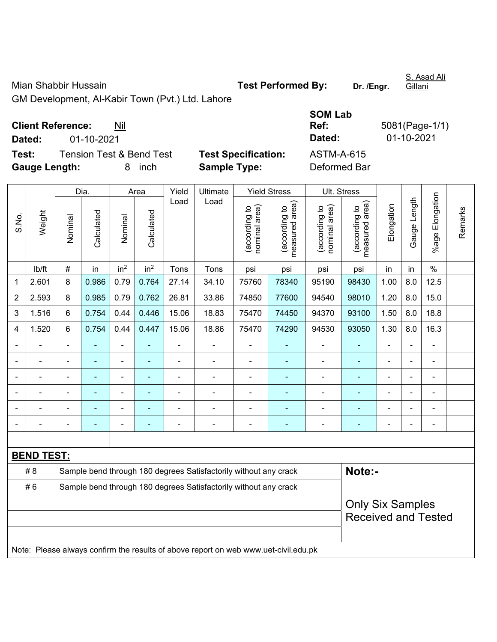Mian Shabbir Hussain **Test Performed By:** Dr. /Engr.

S. Asad Ali Gillani

GM Development, Al-Kabir Town (Pvt.) Ltd. Lahore

| <b>Client Reference:</b> | Nil |
|--------------------------|-----|
|--------------------------|-----|

**Dated:** 01-10-2021 **Dated:** 01-10-2021

**Test:** Tension Test & Bend Test **Test Specification: Gauge Length:** 8 inch **Sample Type:** Deformed Bar

| <b>SOM Lab</b> |                |
|----------------|----------------|
| Ref:           | 5081(Page-1/1) |
| Dated:         | 01-10-2021     |
| ASTM-A-615     |                |
| Deformed Bar   |                |

|                |                   |                                                                  | Dia.           |                 | Area            | Yield          | Ultimate                                                                            |                                | <b>Yield Stress</b>             | Ult. Stress                    |                                                       |                |                          |                           |         |
|----------------|-------------------|------------------------------------------------------------------|----------------|-----------------|-----------------|----------------|-------------------------------------------------------------------------------------|--------------------------------|---------------------------------|--------------------------------|-------------------------------------------------------|----------------|--------------------------|---------------------------|---------|
| S.No.          | Weight            | Nominal                                                          | Calculated     | Nominal         | Calculated      | Load           | Load                                                                                | (according to<br>nominal area) | (according to<br>measured area) | (according to<br>nominal area) | (according to  <br>measured area)                     | Elongation     | Gauge Length             | Elongation<br>$%$ age $ $ | Remarks |
|                | lb/ft             | #                                                                | in             | in <sup>2</sup> | in <sup>2</sup> | Tons           | Tons                                                                                | psi                            | psi                             | psi                            | psi                                                   | in             | in                       | $\%$                      |         |
| 1              | 2.601             | 8                                                                | 0.986          | 0.79            | 0.764           | 27.14          | 34.10                                                                               | 75760                          | 78340                           | 95190                          | 98430                                                 | 1.00           | 8.0                      | 12.5                      |         |
| $\overline{2}$ | 2.593             | 8                                                                | 0.985          | 0.79            | 0.762           | 26.81          | 33.86                                                                               | 74850                          | 77600                           | 94540                          | 98010                                                 | 1.20           | 8.0                      | 15.0                      |         |
| 3              | 1.516             | 6                                                                | 0.754          | 0.44            | 0.446           | 15.06          | 18.83                                                                               | 75470                          | 74450                           | 94370                          | 93100                                                 | 1.50           | 8.0                      | 18.8                      |         |
| 4              | 1.520             | 6                                                                | 0.754          | 0.44            | 0.447           | 15.06          | 18.86                                                                               | 75470                          | 74290                           | 94530                          | 93050                                                 | 1.30           | 8.0                      | 16.3                      |         |
|                | $\blacksquare$    | $\blacksquare$                                                   | ä,             | ÷,              |                 | $\blacksquare$ | ä,                                                                                  | ä,                             | ä,                              | $\qquad \qquad \blacksquare$   | $\blacksquare$                                        | ä,             |                          | ä,                        |         |
|                | $\blacksquare$    |                                                                  | $\blacksquare$ | ÷,              |                 | $\blacksquare$ | Ē,                                                                                  | $\blacksquare$                 | $\blacksquare$                  | ÷,                             | ä,                                                    |                |                          | $\blacksquare$            |         |
|                | $\blacksquare$    |                                                                  | ۰              | ۰               |                 |                | $\blacksquare$                                                                      | $\blacksquare$                 | ٠                               | $\overline{a}$                 | $\blacksquare$                                        | $\blacksquare$ | $\overline{\phantom{0}}$ | ٠                         |         |
|                | $\blacksquare$    | $\blacksquare$                                                   | ÷              | ÷               |                 | $\blacksquare$ | ÷                                                                                   | $\blacksquare$                 | $\blacksquare$                  | ÷                              | $\blacksquare$                                        | $\blacksquare$ | $\blacksquare$           | $\blacksquare$            |         |
|                | $\overline{a}$    |                                                                  | ۰              | $\blacksquare$  |                 |                | Ē,                                                                                  | $\blacksquare$                 | ÷                               | ÷                              | $\blacksquare$                                        | $\blacksquare$ | $\blacksquare$           | $\blacksquare$            |         |
|                | $\overline{a}$    | $\blacksquare$                                                   | $\blacksquare$ | ÷               |                 | $\blacksquare$ | $\blacksquare$                                                                      | $\blacksquare$                 | $\blacksquare$                  | ÷                              | ٠                                                     | $\blacksquare$ | $\blacksquare$           | $\blacksquare$            |         |
|                |                   |                                                                  |                |                 |                 |                |                                                                                     |                                |                                 |                                |                                                       |                |                          |                           |         |
|                | <b>BEND TEST:</b> |                                                                  |                |                 |                 |                |                                                                                     |                                |                                 |                                |                                                       |                |                          |                           |         |
|                | # 8               |                                                                  |                |                 |                 |                | Sample bend through 180 degrees Satisfactorily without any crack                    |                                |                                 |                                | Note:-                                                |                |                          |                           |         |
|                | #6                | Sample bend through 180 degrees Satisfactorily without any crack |                |                 |                 |                |                                                                                     |                                |                                 |                                |                                                       |                |                          |                           |         |
|                |                   |                                                                  |                |                 |                 |                |                                                                                     |                                |                                 |                                | <b>Only Six Samples</b><br><b>Received and Tested</b> |                |                          |                           |         |
|                |                   |                                                                  |                |                 |                 |                | Note: Please always confirm the results of above report on web www.uet-civil.edu.pk |                                |                                 |                                |                                                       |                |                          |                           |         |